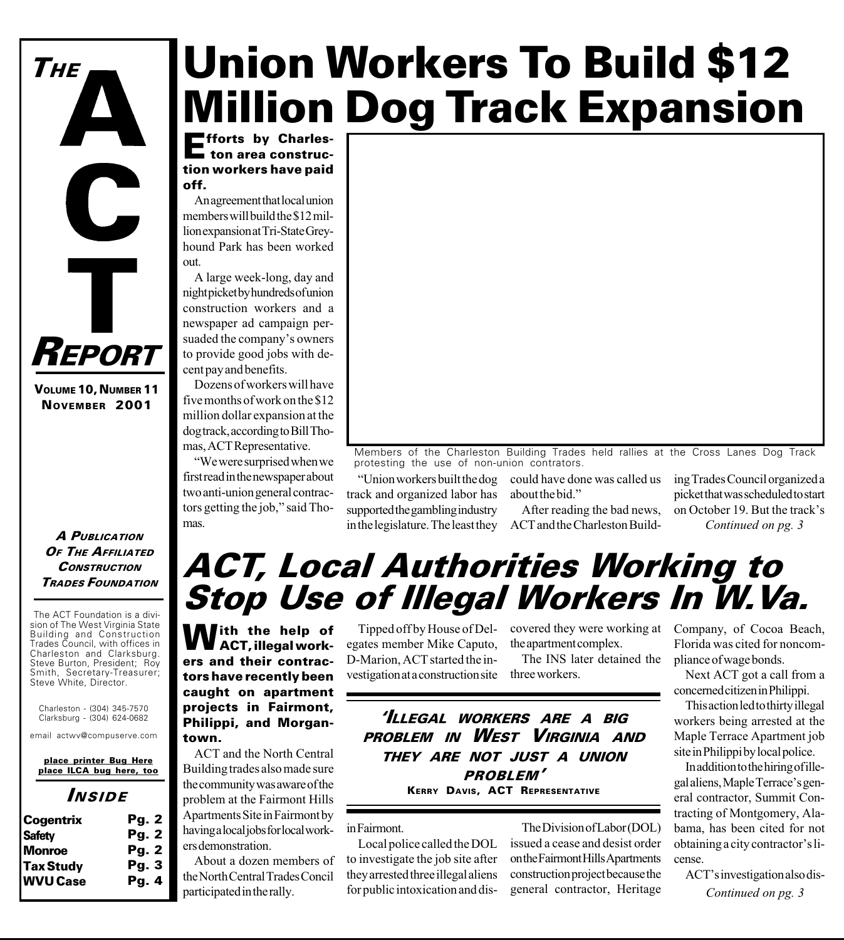# Union Workers To Build \$12 Million Dog Track Expansion

**Efforts by Charles-**<br>
ton area construction workers have paid off.

An agreement that local union members will build the \$12 million expansion at Tri-State Greyhound Park has been worked out.

A large week-long, day and night picket by hundreds of union construction workers and a newspaper ad campaign persuaded the company's owners to provide good jobs with decent pay and benefits.

Dozens of workers will have five months of work on the \$12 million dollar expansion at the dog track, according to Bill Thomas, ACT Representative.

We were surprised when we first read in the newspaper about two anti-union general contractors getting the job," said Thomas.



Members of the Charleston Building Trades held rallies at the Cross Lanes Dog Track protesting the use of non-union contrators.

Union workers built the dog track and organized labor has supported the gambling industry in the legislature. The least they

could have done was called us about the bid.

> After reading the bad news, ACT and the Charleston Build

ing Trades Council organized a picket that was scheduled to start on October 19. But the track's Continued on pg. 3

## ACT, Local Authorities Working to Stop Use of Illegal Workers In W.Va.

**With the help of** ACT, illegal workers and their contractors have recently been caught on apartment projects in Fairmont, Philippi, and Morgantown.

ACT and the North Central Building trades also made sure the community was aware of the problem at the Fairmont Hills Apartments Site in Fairmont by having a local jobs for local workers demonstration.

About a dozen members of the North Central Trades Concil participated in the rally.

Tipped off by House of Delegates member Mike Caputo, D-Marion, ACT started the investigation at a construction site

covered they were working at the apartment complex.

The INS later detained the three workers.

'ILLEGAL WORKERS ARE A BIG PROBLEM IN WEST VIRGINIA AND THEY ARE NOT JUST A UNION PROBLEM KERRY DAVIS, ACT REPRESENTATIVE

in Fairmont.

Local police called the DOL to investigate the job site after they arrested three illegal aliens for public intoxication and dis-

The Division of Labor (DOL) issued a cease and desist order on the Fairmont Hills Apartments construction project because the general contractor, Heritage

Company, of Cocoa Beach, Florida was cited for noncompliance of wage bonds.

Next ACT got a call from a concerned citizen in Philippi.

This action led to thirty illegal workers being arrested at the Maple Terrace Apartment job site in Philippi by local police.

In addition to the hiring of illegal aliens, Maple Terrace's general contractor, Summit Contracting of Montgomery, Alabama, has been cited for not obtaining a city contractor's license.

ACT's investigation also dis-Continued on pg. 3

The ACT Foundation is a division of The West Virginia State **CONSTRUCTION** TRADES FOUNDATION

A PUBLICATION OF THE AFFILIATED

REPORT

 $\overline{\phantom{0}}$ 

VOLUME 10, NUMBER 11 NOVEMBER 2001

THE

Building and Construction Trades Council, with offices in Charleston and Clarksburg. Steve Burton, President; Roy Smith, Secretary-Treasurer; Steve White, Director.

Charleston - (304) 345-7570 Clarksburg - (304) 624-0682

email actwv@compuserve.com

place printer Bug Here place ILCA bug here, too

INSIDE

| <b>Cogentrix</b> | <b>Pg. 2</b> |
|------------------|--------------|
| <b>Safety</b>    | <b>Pg. 2</b> |
| <b>Monroe</b>    | <b>Pg. 2</b> |
| <b>Tax Study</b> | Pq.3         |
| <b>WVU Case</b>  | Pq.4         |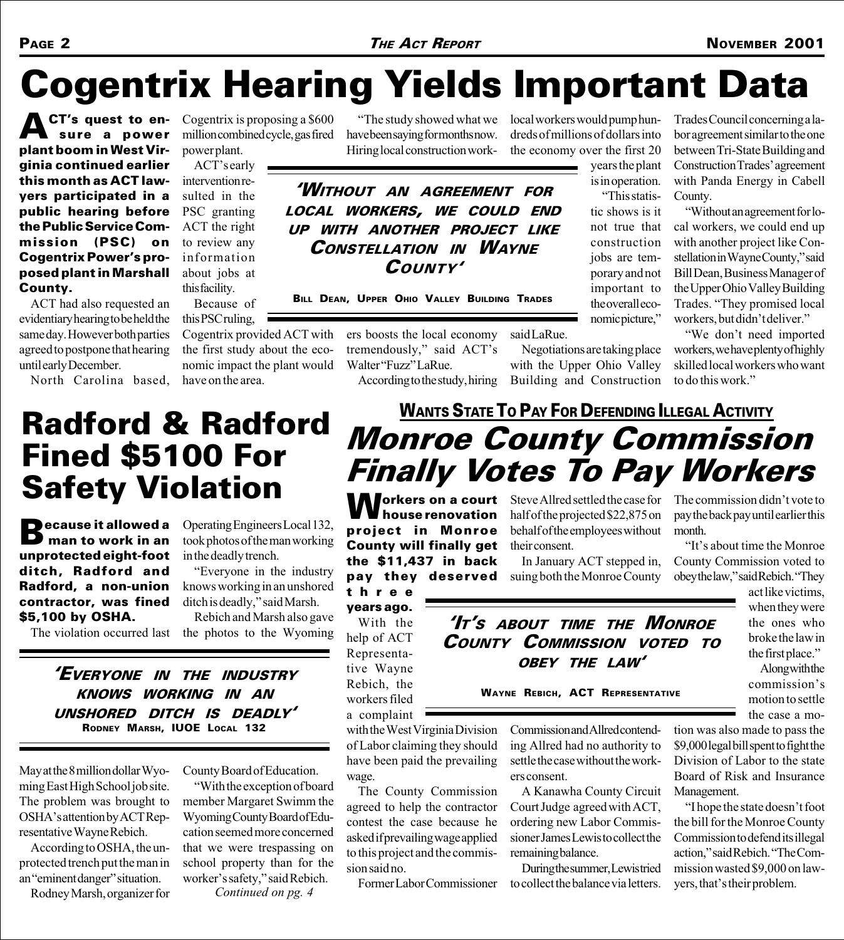# Cogentrix Hearing Yields Important Data

**ACT's quest to en** sure a power plant boom in West Virginia continued earlier this month as ACT lawyers participated in a public hearing before the Public Service Commission (PSC) on Cogentrix Power's proposed plant in Marshall County.

ACT had also requested an evidentiary hearing to be held the same day. However both parties agreed to postpone that hearing until early December.

North Carolina based,

Cogentrix is proposing a \$600 million combined cycle, gas fired power plant.

ACT's early intervention resulted in the PSC granting ACT the right to review any information about jobs at this facility.

Because of this PSC ruling,

Cogentrix provided ACT with the first study about the economic impact the plant would have on the area.

The study showed what we have been saying for months now. Hiring local construction work-

WITHOUT AN AGREEMENT FOR LOCAL WORKERS, WE COULD END UP WITH ANOTHER PROJECT LIKE CONSTELLATION IN WAYNE COUNTY'

BILL DEAN, UPPER OHIO VALLEY BUILDING TRADES

ers boosts the local economy tremendously," said ACT's Walter "Fuzz" LaRue. said LaRue. Building and Construction

According to the study, hiring

local workers would pump hundreds of millions of dollars into the economy over the first 20

years the plant is in operation. This statis-

tic shows is it not true that construction jobs are temporary and not important to the overall economic picture,

Trades Council concerning a labor agreement similar to the one between Tri-State Building and Construction Trades' agreement with Panda Energy in Cabell County.

Without an agreement for local workers, we could end up with another project like Constellation in Wayne County," said Bill Dean, Business Manager of the Upper Ohio Valley Building Trades. "They promised local workers, but didn't deliver."

"We don't need imported workers, we have plenty of highly skilled local workers who want to do this work.

# Radford & Radford Fined \$5100 For **Safety Violation**<br>**Decause it allowed a** Operating Engineers

**B**ecause it allowed a<br>**B** man to work in an unprotected eight-foot ditch, Radford and Radford, a non-union contractor, was fined \$5,100 by OSHA.

The violation occurred last

Operating Engineers Local 132, took photos of the man working in the deadly trench.

Everyone in the industry knows working in an unshored ditch is deadly," said Marsh.

Rebich and Marsh also gave the photos to the Wyoming

EVERYONE IN THE INDUSTRY KNOWS WORKING IN AN UNSHORED DITCH IS DEADLY RODNEY MARSH, IUOE LOCAL 132

May at the 8 million dollar Wyoming East High School job site. The problem was brought to OSHA's attention by ACT Representative Wayne Rebich.

According to OSHA, the unprotected trench put the man in an "eminent danger" situation.

Rodney Marsh, organizer for

County Board of Education.

With the exception of board member Margaret Swimm the Wyoming County Board of Education seemed more concerned that we were trespassing on school property than for the worker's safety," said Rebich.

Continued on pg. 4

house renovation project in Monroe County will finally get the \$11,437 in back  $\sum$  orkers on a court Steve Allred settled the case for Finally Votes To Pay Workers

pay they deserved three years ago.

With the help of ACT Representative Wayne Rebich, the workers filed a complaint

with the West Virginia Division of Labor claiming they should have been paid the prevailing wage.

The County Commission agreed to help the contractor contest the case because he asked if prevailing wage applied to this project and the commission said no.

Former Labor Commissioner

half of the projected \$22,875 on behalf of the employees without their consent.

Monroe County Commission

**WANTS STATE TO PAY FOR DEFENDING ILLEGAL ACTIVITY** 

Negotiations are taking place with the Upper Ohio Valley

In January ACT stepped in, suing both the Monroe County

The commission didn't vote to pay the back pay until earlier this month.

"It's about time the Monroe" County Commission voted to obey the law," said Rebich. "They

> act like victims, when they were the ones who broke the law in the first place.

Along with the commission's motion to settle the case a mo-

\$9,000 legal bill spent to fight the Division of Labor to the state Board of Risk and Insurance Management.

"I hope the state doesn't foot the bill for the Monroe County Commission to defend its illegal action," said Rebich. "The Commission wasted \$9,000 on lawyers, that's their problem.

'IT'S ABOUT TIME THE MONBOE COUNTY COMMISSION VOTED TO OBEY THE LAW'

Commission and Allred contending Allred had no authority to settle the case without the workers consent.

A Kanawha County Circuit Court Judge agreed with ACT, ordering new Labor Commissioner James Lewis to collect the remaining balance.

During the summer, Lewis tried to collect the balance via letters.

WAYNE REBICH, ACT REPRESENTATIVE

tion was also made to pass the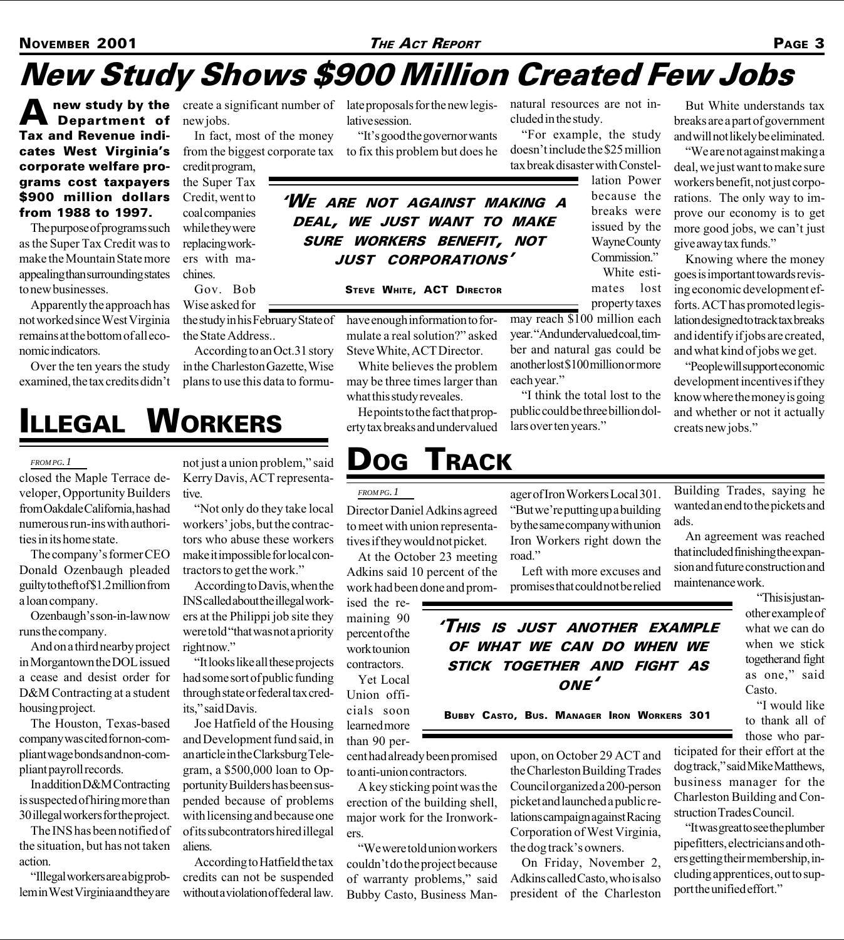## New Study Shows \$900 Million Created Few Jobs

**A** new study by the create a significant number of late proposals for the new legis-<br> **Department of** new jobs. lative session. Department of Tax and Revenue indicates West Virginia's corporate welfare programs cost taxpayers \$900 million dollars from 1988 to 1997.

The purpose of programs such as the Super Tax Credit was to make the Mountain State more appealing than surrounding states to new businesses.

Apparently the approach has not worked since West Virginia remains at the bottom of all economic indicators.

Over the ten years the study examined, the tax credits didn't new jobs.

In fact, most of the money from the biggest corporate tax to fix this problem but does he

credit program, the Super Tax Credit, went to coal companies while they were replacing workers with machines.

Gov. Bob Wise asked for the study in his February State of

the State Address.. According to an Oct.31 story in the Charleston Gazette, Wise plans to use this data to formulative session.

"It's good the governor wants

natural resources are not included in the study.

For example, the study doesn't include the \$25 million tax break disaster with Constel-

lation Power because the breaks were issued by the Wayne County Commission."

White estimates lost property taxes

may reach \$100 million each year. "And undervalued coal, timber and natural gas could be another lost \$100 million or more each year.

I think the total lost to the public could be three billion dollars over ten years."

But White understands tax breaks are a part of government and will not likely be eliminated.

We are not against making a deal, we just want to make sure workers benefit, not just corporations. The only way to improve our economy is to get more good jobs, we can't just give away tax funds.

Knowing where the money goes is important towards revising economic development efforts. ACT has promoted legislation designed to track tax breaks and identify if jobs are created, and what kind of jobs we get.

People will support economic development incentives if they know where the money is going and whether or not it actually creats new jobs.

## ILLEGAL WORKERS

### *FROM PG. 1*

closed the Maple Terrace developer, Opportunity Builders from Oakdale California, has had numerous run-ins with authorities in its home state.

The company's former CEO Donald Ozenbaugh pleaded guilty to theft of \$1.2 million from a loan company.

Ozenbaugh's son-in-law now runs the company.

And on a third nearby project in Morgantown the DOL issued a cease and desist order for D&M Contracting at a student housing project.

The Houston, Texas-based company was cited for non-compliant wage bonds and non-compliant payroll records.

In addition D&M Contracting is suspected of hiring more than 30 illegal workers for the project.

The INS has been notified of the situation, but has not taken action.

Illegal workers are a big problem in West Virginia and they are

not just a union problem," said Kerry Davis, ACT representative.

Not only do they take local workers' jobs, but the contractors who abuse these workers make it impossible for local contractors to get the work.

According to Davis, when the INS called about the illegal workers at the Philippi job site they were told "that was not a priority right now."

"It looks like all these projects had some sort of public funding through state or federal tax credits," said Davis.

Joe Hatfield of the Housing and Development fund said, in an article in the Clarksburg Telegram, a \$500,000 loan to Opportunity Builders has been suspended because of problems with licensing and because one of its subcontrators hired illegal aliens.

According to Hatfield the tax credits can not be suspended without a violation of federal law.

*FROM PG. 1*

what this study reveales.

Director Daniel Adkins agreed to meet with union representatives if they would not picket.

At the October 23 meeting Adkins said 10 percent of the work had been done and prom-

ised the remaining 90 percent of the work to union contractors.

Yet Local Union officials soon learned more than 90 per-

cent had already been promised to anti-union contractors.

A key sticking point was the erection of the building shell, major work for the Ironworkers.

We were told union workers couldn't do the project because of warranty problems," said Bubby Casto, Business Man"But we're putting up a building" by the same company with union Iron Workers right down the road.

ager of Iron Workers Local 301.

Left with more excuses and promises that could not be relied

### THIS IS JUST ANOTHER EXAMPLE OF WHAT WE CAN DO WHEN WE STICK TOGETHER AND FIGHT AS ONE<sup>'</sup>

BUBBY CASTO, BUS. MANAGER IRON WORKERS 301

upon, on October 29 ACT and the Charleston Building Trades Council organized a 200-person picket and launched a public relations campaign against Racing Corporation of West Virginia, the dog track's owners.

On Friday, November 2, Adkins called Casto, who is also president of the Charleston Building Trades, saying he wanted an end to the pickets and ads.

An agreement was reached that included finishing the expansion and future construction and maintenance work.

> This is just another example of what we can do when we stick together and fight as one," said Casto.

> "I would like to thank all of those who par-

ticipated for their effort at the dog track," said Mike Matthews, business manager for the Charleston Building and Construction Trades Council.

It was great to see the plumber pipefitters, electricians and others getting their membership, including apprentices, out to support the unified effort.

### WE ARE NOT AGAINST MAKING <sup>A</sup> DEAL, WE JUST WANT TO MAKE SURE WORKERS BENEFIT, NOT JUST CORPORATIONS'

STEVE WHITE, ACT DIRECTOR

have enough information to formulate a real solution?" asked Steve White, ACT Director. White believes the problem may be three times larger than

He points to the fact that property tax breaks and undervalued

DOG TRACK